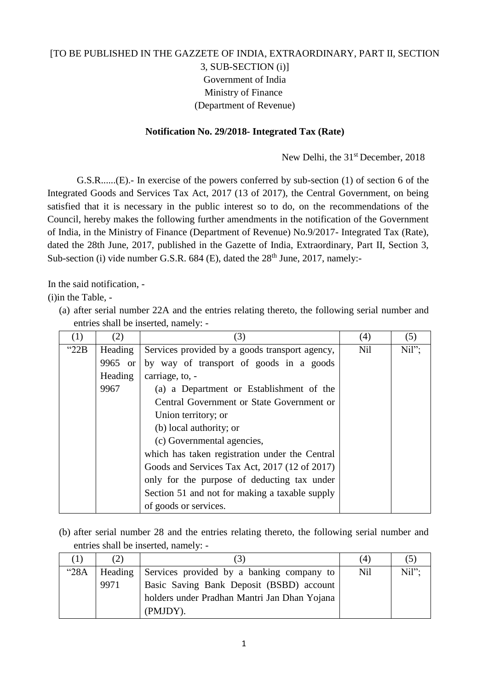## [TO BE PUBLISHED IN THE GAZZETE OF INDIA, EXTRAORDINARY, PART II, SECTION 3, SUB-SECTION (i)] Government of India Ministry of Finance (Department of Revenue)

## **Notification No. 29/2018- Integrated Tax (Rate)**

New Delhi, the 31<sup>st</sup> December, 2018

G.S.R......(E).- In exercise of the powers conferred by sub-section (1) of section 6 of the Integrated Goods and Services Tax Act, 2017 (13 of 2017), the Central Government, on being satisfied that it is necessary in the public interest so to do, on the recommendations of the Council, hereby makes the following further amendments in the notification of the Government of India, in the Ministry of Finance (Department of Revenue) No.9/2017- Integrated Tax (Rate), dated the 28th June, 2017, published in the Gazette of India, Extraordinary, Part II, Section 3, Sub-section (i) vide number G.S.R.  $684$  (E), dated the  $28<sup>th</sup>$  June, 2017, namely:-

In the said notification, -

(i)in the Table, -

(a) after serial number 22A and the entries relating thereto, the following serial number and entries shall be inserted, namely: -

| $\left(1\right)$ | (2)     | (3)                                            | (4)        | (5)   |
|------------------|---------|------------------------------------------------|------------|-------|
| " $22B$          | Heading | Services provided by a goods transport agency, | <b>Nil</b> | Nil"; |
|                  | 9965 or | by way of transport of goods in a goods        |            |       |
|                  | Heading | carriage, to, -                                |            |       |
|                  | 9967    | (a) a Department or Establishment of the       |            |       |
|                  |         | Central Government or State Government or      |            |       |
|                  |         | Union territory; or                            |            |       |
|                  |         | (b) local authority; or                        |            |       |
|                  |         | (c) Governmental agencies,                     |            |       |
|                  |         | which has taken registration under the Central |            |       |
|                  |         | Goods and Services Tax Act, 2017 (12 of 2017)  |            |       |
|                  |         | only for the purpose of deducting tax under    |            |       |
|                  |         | Section 51 and not for making a taxable supply |            |       |
|                  |         | of goods or services.                          |            |       |

(b) after serial number 28 and the entries relating thereto, the following serial number and entries shall be inserted, namely: -

|      | (2)     | 3                                            | (4) |          |
|------|---------|----------------------------------------------|-----|----------|
| "28A | Heading | Services provided by a banking company to    | Nil | $Nil"$ : |
|      | 9971    | Basic Saving Bank Deposit (BSBD) account     |     |          |
|      |         | holders under Pradhan Mantri Jan Dhan Yojana |     |          |
|      |         | (PMJDY).                                     |     |          |